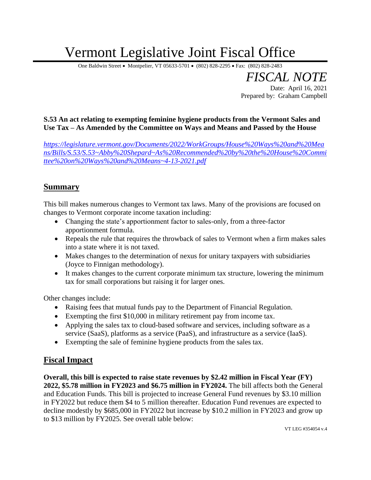# Vermont Legislative Joint Fiscal Office

One Baldwin Street • Montpelier, VT 05633-5701 • (802) 828-2295 • Fax: (802) 828-2483

*FISCAL NOTE* Date: April 16, 2021 Prepared by: Graham Campbell

**S.53 An act relating to exempting feminine hygiene products from the Vermont Sales and Use Tax – As Amended by the Committee on Ways and Means and Passed by the House**

*[https://legislature.vermont.gov/Documents/2022/WorkGroups/House%20Ways%20and%20Mea](https://legislature.vermont.gov/Documents/2022/WorkGroups/House%20Ways%20and%20Means/Bills/S.53/S.53~Abby%20Shepard~As%20Recommended%20by%20the%20House%20Committee%20on%20Ways%20and%20Means~4-13-2021.pdf) [ns/Bills/S.53/S.53~Abby%20Shepard~As%20Recommended%20by%20the%20House%20Commi](https://legislature.vermont.gov/Documents/2022/WorkGroups/House%20Ways%20and%20Means/Bills/S.53/S.53~Abby%20Shepard~As%20Recommended%20by%20the%20House%20Committee%20on%20Ways%20and%20Means~4-13-2021.pdf) [ttee%20on%20Ways%20and%20Means~4-13-2021.pdf](https://legislature.vermont.gov/Documents/2022/WorkGroups/House%20Ways%20and%20Means/Bills/S.53/S.53~Abby%20Shepard~As%20Recommended%20by%20the%20House%20Committee%20on%20Ways%20and%20Means~4-13-2021.pdf)*

# **Summary**

This bill makes numerous changes to Vermont tax laws. Many of the provisions are focused on changes to Vermont corporate income taxation including:

- Changing the state's apportionment factor to sales-only, from a three-factor apportionment formula.
- Repeals the rule that requires the throwback of sales to Vermont when a firm makes sales into a state where it is not taxed.
- Makes changes to the determination of nexus for unitary taxpayers with subsidiaries (Joyce to Finnigan methodology).
- It makes changes to the current corporate minimum tax structure, lowering the minimum tax for small corporations but raising it for larger ones.

Other changes include:

- Raising fees that mutual funds pay to the Department of Financial Regulation.
- Exempting the first \$10,000 in military retirement pay from income tax.
- Applying the sales tax to cloud-based software and services, including software as a service (SaaS), platforms as a service (PaaS), and infrastructure as a service (IaaS).
- Exempting the sale of feminine hygiene products from the sales tax.

# **Fiscal Impact**

**Overall, this bill is expected to raise state revenues by \$2.42 million in Fiscal Year (FY) 2022, \$5.78 million in FY2023 and \$6.75 million in FY2024.** The bill affects both the General and Education Funds. This bill is projected to increase General Fund revenues by \$3.10 million in FY2022 but reduce them \$4 to 5 million thereafter. Education Fund revenues are expected to decline modestly by \$685,000 in FY2022 but increase by \$10.2 million in FY2023 and grow up to \$13 million by FY2025. See overall table below: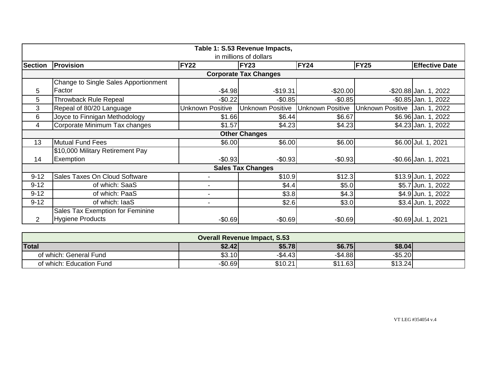| Table 1: S.53 Revenue Impacts,      |                                      |                         |                          |                  |                  |                         |  |
|-------------------------------------|--------------------------------------|-------------------------|--------------------------|------------------|------------------|-------------------------|--|
| in millions of dollars              |                                      |                         |                          |                  |                  |                         |  |
| <b>Section</b>                      | Provision                            | <b>FY22</b>             | <b>FY23</b>              | <b>FY24</b>      | <b>FY25</b>      | <b>Effective Date</b>   |  |
| <b>Corporate Tax Changes</b>        |                                      |                         |                          |                  |                  |                         |  |
|                                     | Change to Single Sales Apportionment |                         |                          |                  |                  |                         |  |
| 5                                   | Factor                               | $-$4.98$                | $-$19.31$                | $-$20.00$        |                  | -\$20.88 Jan. 1, 2022   |  |
| 5                                   | <b>Throwback Rule Repeal</b>         | $-$0.22$                | $-$0.85$                 | $-$0.85$         |                  | -\$0.85 Jan. 1, 2022    |  |
| 3                                   | Repeal of 80/20 Language             | <b>Unknown Positive</b> | <b>Unknown Positive</b>  | Unknown Positive | Unknown Positive | Jan. 1, 2022            |  |
| 6                                   | Joyce to Finnigan Methodology        | \$1.66                  | \$6.44                   | \$6.67           |                  | \$6.96 Jan. 1, 2022     |  |
| 4                                   | Corporate Minimum Tax changes        | \$1.57                  | \$4.23                   | \$4.23           |                  | \$4.23 Jan. 1, 2022     |  |
| <b>Other Changes</b>                |                                      |                         |                          |                  |                  |                         |  |
| 13                                  | Mutual Fund Fees                     | \$6.00                  | \$6.00                   | \$6.00           |                  | \$6.00 Jul. 1, 2021     |  |
|                                     | \$10,000 Military Retirement Pay     |                         |                          |                  |                  |                         |  |
| 14                                  | Exemption                            | $-$ \$0.93              | $-$0.93$                 | $-$0.93$         |                  | $-$ \$0.66 Jan. 1, 2021 |  |
|                                     |                                      |                         | <b>Sales Tax Changes</b> |                  |                  |                         |  |
| $9 - 12$                            | Sales Taxes On Cloud Software        |                         | \$10.9                   | \$12.3           |                  | \$13.9 Jun. 1, 2022     |  |
| $9 - 12$                            | of which: SaaS                       |                         | \$4.4                    | \$5.0            |                  | \$5.7 Jun. 1, 2022      |  |
| $9 - 12$                            | of which: PaaS                       |                         | \$3.8                    | \$4.3            |                  | \$4.9 Jun. 1, 2022      |  |
| $9 - 12$                            | of which: laaS                       | $\blacksquare$          | \$2.6                    | \$3.0            |                  | \$3.4 Jun. 1, 2022      |  |
|                                     | Sales Tax Exemption for Feminine     |                         |                          |                  |                  |                         |  |
| $\overline{2}$                      | <b>Hygiene Products</b>              | $-$0.69$                | $-$0.69$                 | $-$0.69$         |                  | $-$ \$0.69 Jul. 1, 2021 |  |
|                                     |                                      |                         |                          |                  |                  |                         |  |
| <b>Overall Revenue Impact, S.53</b> |                                      |                         |                          |                  |                  |                         |  |
| <b>Total</b>                        |                                      | \$2.42]                 | \$5.78                   | \$6.75           | \$8.04           |                         |  |
| of which: General Fund              |                                      | \$3.10                  | $-$4.43$                 | $-$4.88$         | $-$ \$5.20       |                         |  |
| of which: Education Fund            |                                      | $-$0.69$                | \$10.21                  | \$11.63          | \$13.24          |                         |  |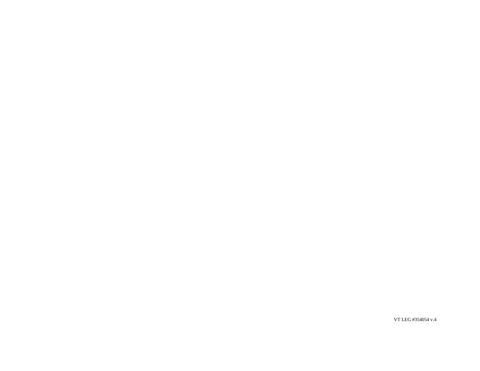VT LEG #354054 v.4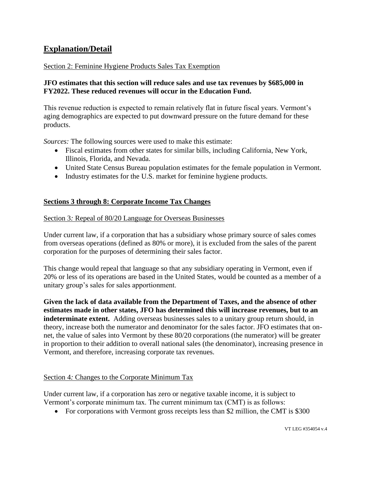# **Explanation/Detail**

## Section 2: Feminine Hygiene Products Sales Tax Exemption

## **JFO estimates that this section will reduce sales and use tax revenues by \$685,000 in FY2022. These reduced revenues will occur in the Education Fund.**

This revenue reduction is expected to remain relatively flat in future fiscal years. Vermont's aging demographics are expected to put downward pressure on the future demand for these products.

*Sources:* The following sources were used to make this estimate:

- Fiscal estimates from other states for similar bills, including California, New York, Illinois, Florida, and Nevada.
- United State Census Bureau population estimates for the female population in Vermont.
- Industry estimates for the U.S. market for feminine hygiene products.

## **Sections 3 through 8: Corporate Income Tax Changes**

#### Section 3*:* Repeal of 80/20 Language for Overseas Businesses

Under current law, if a corporation that has a subsidiary whose primary source of sales comes from overseas operations (defined as 80% or more), it is excluded from the sales of the parent corporation for the purposes of determining their sales factor.

This change would repeal that language so that any subsidiary operating in Vermont, even if 20% or less of its operations are based in the United States, would be counted as a member of a unitary group's sales for sales apportionment.

**Given the lack of data available from the Department of Taxes, and the absence of other estimates made in other states, JFO has determined this will increase revenues, but to an indeterminate extent.** Adding overseas businesses sales to a unitary group return should, in theory, increase both the numerator and denominator for the sales factor. JFO estimates that onnet, the value of sales into Vermont by these 80/20 corporations (the numerator) will be greater in proportion to their addition to overall national sales (the denominator), increasing presence in Vermont, and therefore, increasing corporate tax revenues.

#### Section 4*:* Changes to the Corporate Minimum Tax

Under current law, if a corporation has zero or negative taxable income, it is subject to Vermont's corporate minimum tax. The current minimum tax (CMT) is as follows:

• For corporations with Vermont gross receipts less than \$2 million, the CMT is \$300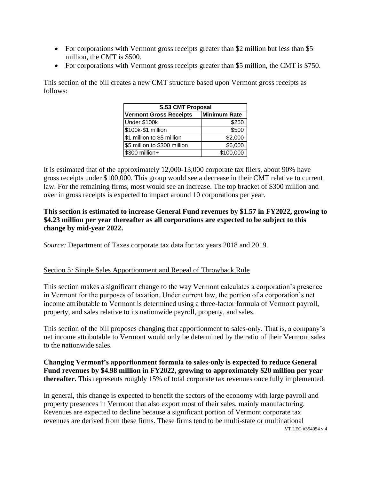- For corporations with Vermont gross receipts greater than \$2 million but less than \$5 million, the CMT is \$500.
- For corporations with Vermont gross receipts greater than \$5 million, the CMT is \$750.

This section of the bill creates a new CMT structure based upon Vermont gross receipts as follows:

| <b>S.53 CMT Proposal</b>      |                     |  |  |  |  |
|-------------------------------|---------------------|--|--|--|--|
| <b>Vermont Gross Receipts</b> | <b>Minimum Rate</b> |  |  |  |  |
| Under \$100k                  | \$250               |  |  |  |  |
| \$100k-\$1 million            | \$500               |  |  |  |  |
| \$1 million to \$5 million    | \$2,000             |  |  |  |  |
| \$5 million to \$300 million  | \$6,000             |  |  |  |  |
| \$300 million+                | \$100,000           |  |  |  |  |

It is estimated that of the approximately 12,000-13,000 corporate tax filers, about 90% have gross receipts under \$100,000. This group would see a decrease in their CMT relative to current law. For the remaining firms, most would see an increase. The top bracket of \$300 million and over in gross receipts is expected to impact around 10 corporations per year.

#### **This section is estimated to increase General Fund revenues by \$1.57 in FY2022, growing to \$4.23 million per year thereafter as all corporations are expected to be subject to this change by mid-year 2022.**

*Source:* Department of Taxes corporate tax data for tax years 2018 and 2019.

#### Section 5*:* Single Sales Apportionment and Repeal of Throwback Rule

This section makes a significant change to the way Vermont calculates a corporation's presence in Vermont for the purposes of taxation. Under current law, the portion of a corporation's net income attributable to Vermont is determined using a three-factor formula of Vermont payroll, property, and sales relative to its nationwide payroll, property, and sales.

This section of the bill proposes changing that apportionment to sales-only. That is, a company's net income attributable to Vermont would only be determined by the ratio of their Vermont sales to the nationwide sales.

## **Changing Vermont's apportionment formula to sales-only is expected to reduce General Fund revenues by \$4.98 million in FY2022, growing to approximately \$20 million per year thereafter.** This represents roughly 15% of total corporate tax revenues once fully implemented.

VT LEG #354054 v.4 In general, this change is expected to benefit the sectors of the economy with large payroll and property presences in Vermont that also export most of their sales, mainly manufacturing. Revenues are expected to decline because a significant portion of Vermont corporate tax revenues are derived from these firms. These firms tend to be multi-state or multinational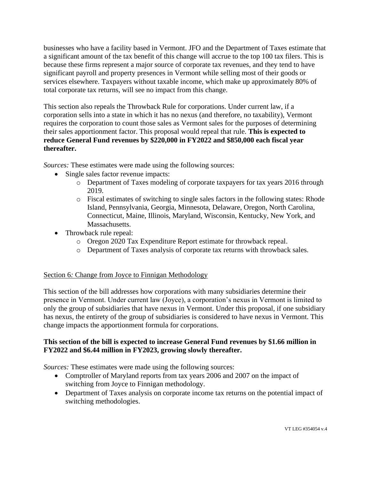businesses who have a facility based in Vermont. JFO and the Department of Taxes estimate that a significant amount of the tax benefit of this change will accrue to the top 100 tax filers. This is because these firms represent a major source of corporate tax revenues, and they tend to have significant payroll and property presences in Vermont while selling most of their goods or services elsewhere. Taxpayers without taxable income, which make up approximately 80% of total corporate tax returns, will see no impact from this change.

This section also repeals the Throwback Rule for corporations. Under current law, if a corporation sells into a state in which it has no nexus (and therefore, no taxability), Vermont requires the corporation to count those sales as Vermont sales for the purposes of determining their sales apportionment factor. This proposal would repeal that rule. **This is expected to reduce General Fund revenues by \$220,000 in FY2022 and \$850,000 each fiscal year thereafter.** 

*Sources:* These estimates were made using the following sources:

- Single sales factor revenue impacts:
	- o Department of Taxes modeling of corporate taxpayers for tax years 2016 through 2019.
	- o Fiscal estimates of switching to single sales factors in the following states: Rhode Island, Pennsylvania, Georgia, Minnesota, Delaware, Oregon, North Carolina, Connecticut, Maine, Illinois, Maryland, Wisconsin, Kentucky, New York, and Massachusetts.
- Throwback rule repeal:
	- o Oregon 2020 Tax Expenditure Report estimate for throwback repeal.
	- o Department of Taxes analysis of corporate tax returns with throwback sales.

# Section 6*:* Change from Joyce to Finnigan Methodology

This section of the bill addresses how corporations with many subsidiaries determine their presence in Vermont. Under current law (Joyce), a corporation's nexus in Vermont is limited to only the group of subsidiaries that have nexus in Vermont. Under this proposal, if one subsidiary has nexus, the entirety of the group of subsidiaries is considered to have nexus in Vermont. This change impacts the apportionment formula for corporations.

# **This section of the bill is expected to increase General Fund revenues by \$1.66 million in FY2022 and \$6.44 million in FY2023, growing slowly thereafter.**

*Sources:* These estimates were made using the following sources:

- Comptroller of Maryland reports from tax years 2006 and 2007 on the impact of switching from Joyce to Finnigan methodology.
- Department of Taxes analysis on corporate income tax returns on the potential impact of switching methodologies.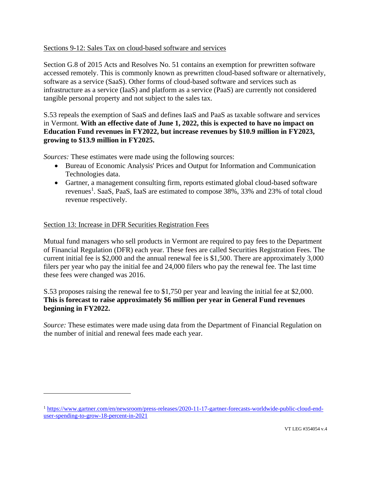## Sections 9-12: Sales Tax on cloud-based software and services

Section G.8 of 2015 Acts and Resolves No. 51 contains an exemption for prewritten software accessed remotely. This is commonly known as prewritten cloud-based software or alternatively, software as a service (SaaS). Other forms of cloud-based software and services such as infrastructure as a service (IaaS) and platform as a service (PaaS) are currently not considered tangible personal property and not subject to the sales tax.

S.53 repeals the exemption of SaaS and defines IaaS and PaaS as taxable software and services in Vermont. **With an effective date of June 1, 2022, this is expected to have no impact on Education Fund revenues in FY2022, but increase revenues by \$10.9 million in FY2023, growing to \$13.9 million in FY2025.** 

*Sources:* These estimates were made using the following sources:

- Bureau of Economic Analysis' Prices and Output for Information and Communication Technologies data.
- Gartner, a management consulting firm, reports estimated global cloud-based software revenues<sup>1</sup>. SaaS, PaaS, IaaS are estimated to compose 38%, 33% and 23% of total cloud revenue respectively.

## Section 13: Increase in DFR Securities Registration Fees

Mutual fund managers who sell products in Vermont are required to pay fees to the Department of Financial Regulation (DFR) each year. These fees are called Securities Registration Fees. The current initial fee is \$2,000 and the annual renewal fee is \$1,500. There are approximately 3,000 filers per year who pay the initial fee and 24,000 filers who pay the renewal fee. The last time these fees were changed was 2016.

S.53 proposes raising the renewal fee to \$1,750 per year and leaving the initial fee at \$2,000. **This is forecast to raise approximately \$6 million per year in General Fund revenues beginning in FY2022.** 

*Source:* These estimates were made using data from the Department of Financial Regulation on the number of initial and renewal fees made each year.

<sup>1</sup> [https://www.gartner.com/en/newsroom/press-releases/2020-11-17-gartner-forecasts-worldwide-public-cloud-end](https://www.gartner.com/en/newsroom/press-releases/2020-11-17-gartner-forecasts-worldwide-public-cloud-end-user-spending-to-grow-18-percent-in-2021)[user-spending-to-grow-18-percent-in-2021](https://www.gartner.com/en/newsroom/press-releases/2020-11-17-gartner-forecasts-worldwide-public-cloud-end-user-spending-to-grow-18-percent-in-2021)